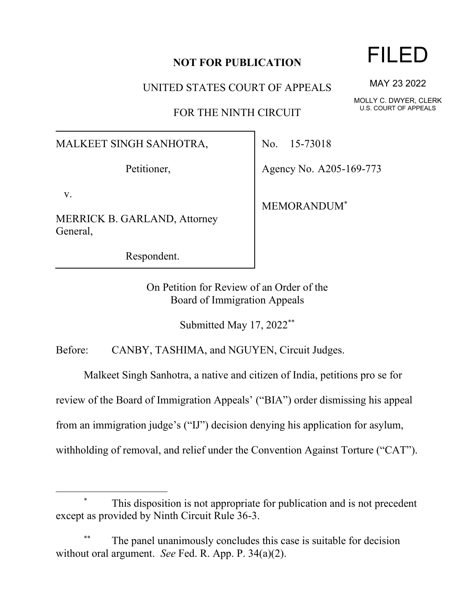## **NOT FOR PUBLICATION**

UNITED STATES COURT OF APPEALS

FOR THE NINTH CIRCUIT

## MALKEET SINGH SANHOTRA,

Petitioner,

v.

MERRICK B. GARLAND, Attorney General,

Respondent.

No. 15-73018

Agency No. A205-169-773

MEMORANDUM\*

On Petition for Review of an Order of the Board of Immigration Appeals

Submitted May 17, 2022\*\*

Before: CANBY, TASHIMA, and NGUYEN, Circuit Judges.

Malkeet Singh Sanhotra, a native and citizen of India, petitions pro se for

review of the Board of Immigration Appeals' ("BIA") order dismissing his appeal

from an immigration judge's ("IJ") decision denying his application for asylum,

withholding of removal, and relief under the Convention Against Torture ("CAT").

This disposition is not appropriate for publication and is not precedent except as provided by Ninth Circuit Rule 36-3.

The panel unanimously concludes this case is suitable for decision without oral argument. *See* Fed. R. App. P. 34(a)(2).

FILED

MAY 23 2022

MOLLY C. DWYER, CLERK U.S. COURT OF APPEALS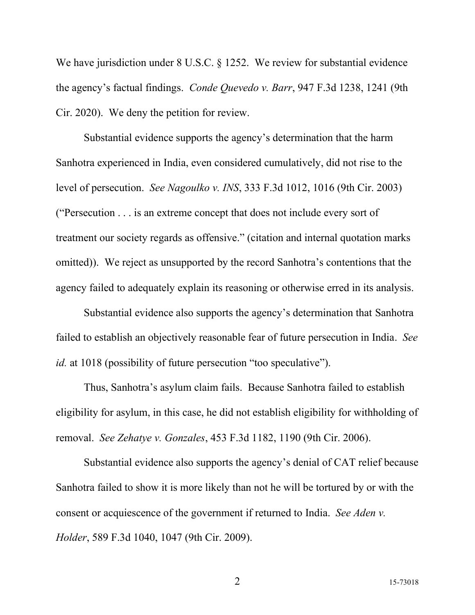We have jurisdiction under 8 U.S.C. § 1252. We review for substantial evidence the agency's factual findings. *Conde Quevedo v. Barr*, 947 F.3d 1238, 1241 (9th Cir. 2020). We deny the petition for review.

Substantial evidence supports the agency's determination that the harm Sanhotra experienced in India, even considered cumulatively, did not rise to the level of persecution. *See Nagoulko v. INS*, 333 F.3d 1012, 1016 (9th Cir. 2003) ("Persecution . . . is an extreme concept that does not include every sort of treatment our society regards as offensive." (citation and internal quotation marks omitted)). We reject as unsupported by the record Sanhotra's contentions that the agency failed to adequately explain its reasoning or otherwise erred in its analysis.

Substantial evidence also supports the agency's determination that Sanhotra failed to establish an objectively reasonable fear of future persecution in India. *See id.* at 1018 (possibility of future persecution "too speculative").

Thus, Sanhotra's asylum claim fails. Because Sanhotra failed to establish eligibility for asylum, in this case, he did not establish eligibility for withholding of removal. *See Zehatye v. Gonzales*, 453 F.3d 1182, 1190 (9th Cir. 2006).

Substantial evidence also supports the agency's denial of CAT relief because Sanhotra failed to show it is more likely than not he will be tortured by or with the consent or acquiescence of the government if returned to India. *See Aden v. Holder*, 589 F.3d 1040, 1047 (9th Cir. 2009).